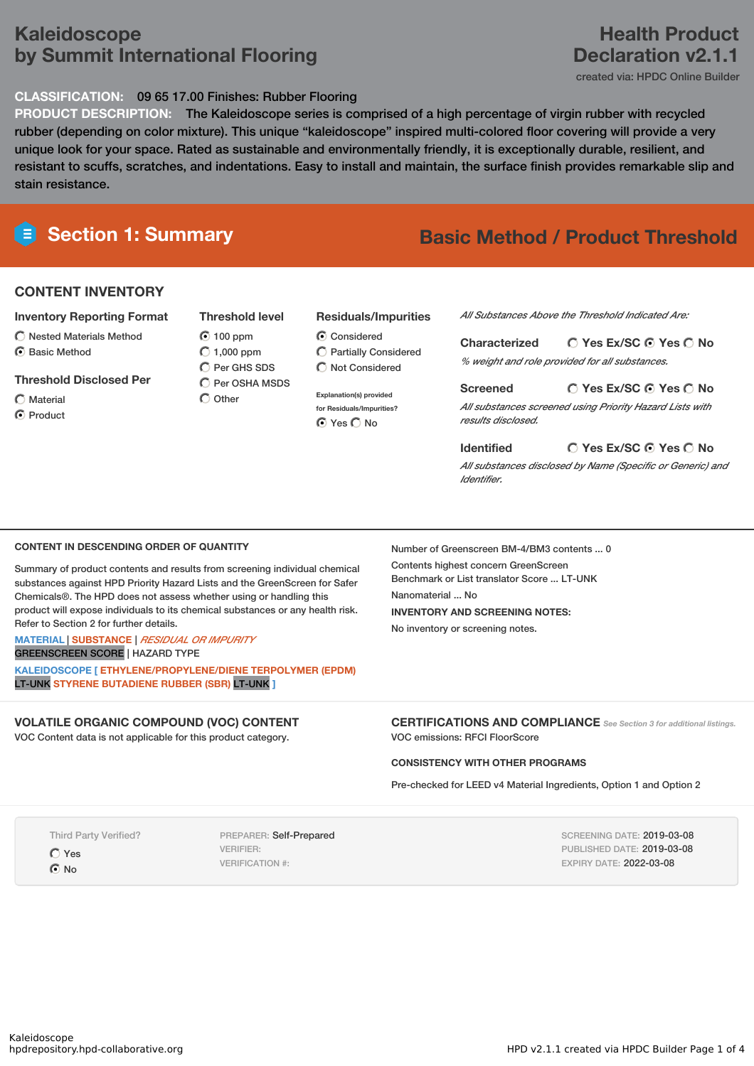## **Kaleidoscope by Summit International Flooring**

### **CLASSIFICATION:** 09 65 17.00 Finishes: Rubber Flooring

**PRODUCT DESCRIPTION:** The Kaleidoscope series is comprised of a high percentage of virgin rubber with recycled rubber (depending on color mixture). This unique "kaleidoscope" inspired multi-colored floor covering will provide a very unique look for your space. Rated as sustainable and environmentally friendly, it is exceptionally durable, resilient, and resistant to scuffs, scratches, and indentations. Easy to install and maintain, the surface finish provides remarkable slip and stain resistance.

### **CONTENT INVENTORY**

### **Inventory Reporting Format**

 $\bigcirc$  Nested Materials Method C Basic Method

### **Threshold Disclosed Per**

- Material
- C Product

**Threshold level 100 ppm**  $\bigcirc$  1,000 ppm Per GHS SDS C Per OSHA MSDS

 $\bigcap$  Other

## **Residuals/Impurities**

**Explanation(s) provided for Residuals/Impurities?** O Yes O No

*All Substances Above the Threshold Indicated Are:*

**Yes Ex/SC Yes No Characterized** *% weight and role provided for all substances.*

**Yes Ex/SC Yes No Screened** *All substances screened using Priority Hazard Lists with results disclosed.*

**Yes Ex/SC Yes No Identified** *All substances disclosed by Name (Specific or Generic) and Identifier.*

### **CONTENT IN DESCENDING ORDER OF QUANTITY**

Summary of product contents and results from screening individual chemical substances against HPD Priority Hazard Lists and the GreenScreen for Safer Chemicals®. The HPD does not assess whether using or handling this product will expose individuals to its chemical substances or any health risk. Refer to Section 2 for further details.

### **MATERIAL** | **SUBSTANCE** | *RESIDUAL OR IMPURITY* GREENSCREEN SCORE | HAZARD TYPE

**KALEIDOSCOPE [ ETHYLENE/PROPYLENE/DIENE TERPOLYMER (EPDM)** LT-UNK **STYRENE BUTADIENE RUBBER (SBR)** LT-UNK **]**

### **VOLATILE ORGANIC COMPOUND (VOC) CONTENT**

VOC Content data is not applicable for this product category.

Number of Greenscreen BM-4/BM3 contents ... 0 Contents highest concern GreenScreen Benchmark or List translator Score ... LT-UNK Nanomaterial No. **INVENTORY AND SCREENING NOTES:** No inventory or screening notes.

**CERTIFICATIONS AND COMPLIANCE** *See Section <sup>3</sup> for additional listings.* VOC emissions: RFCI FloorScore

### **CONSISTENCY WITH OTHER PROGRAMS**

Pre-checked for LEED v4 Material Ingredients, Option 1 and Option 2

Third Party Verified?

O Yes  $\odot$  No

PREPARER: Self-Prepared VERIFIER: VERIFICATION #:

SCREENING DATE: 2019-03-08 PUBLISHED DATE: 2019-03-08 EXPIRY DATE: 2022-03-08

**C** Considered Partially Considered  $\bigcap$  Not Considered

# **Section 1: Summary Basic Method / Product Threshold**

## **Health Product Declaration v2.1.1**

created via: HPDC Online Builder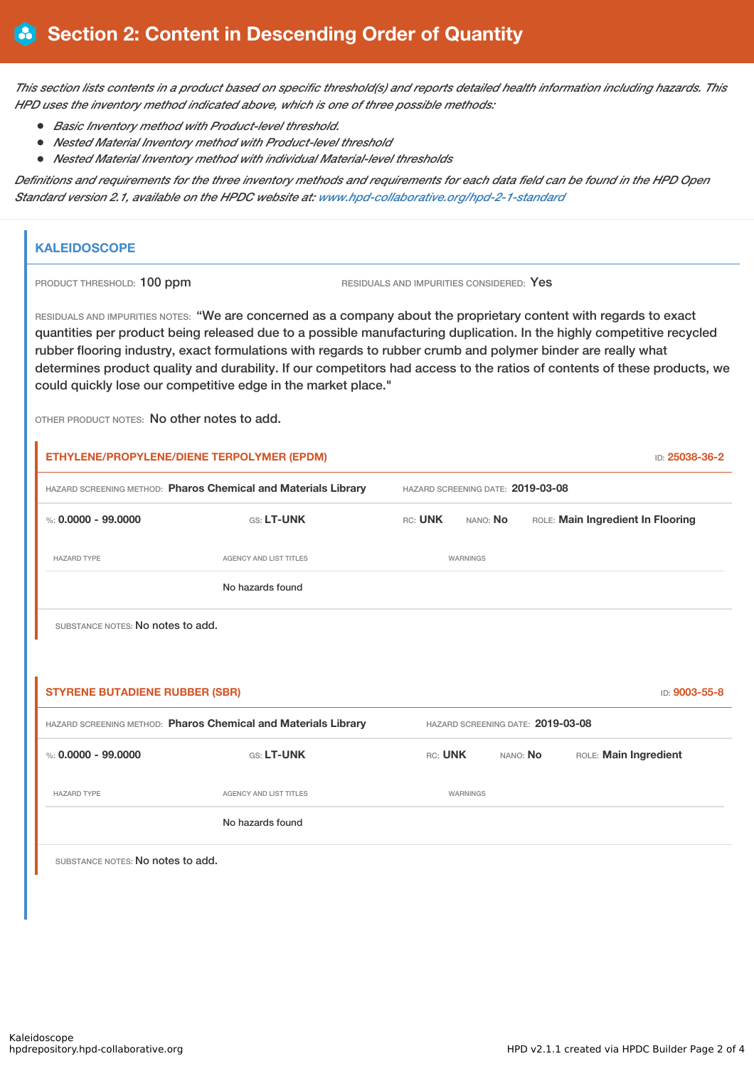This section lists contents in a product based on specific threshold(s) and reports detailed health information including hazards. This *HPD uses the inventory method indicated above, which is one of three possible methods:*

- *Basic Inventory method with Product-level threshold.*
- *Nested Material Inventory method with Product-level threshold*
- *Nested Material Inventory method with individual Material-level thresholds*

Definitions and requirements for the three inventory methods and requirements for each data field can be found in the HPD Open *Standard version 2.1, available on the HPDC website at: [www.hpd-collaborative.org/hpd-2-1-standard](http://www.hpd-collaborative.org/hpd-2-1-standard)*

### **KALEIDOSCOPE**

PRODUCT THRESHOLD: 100 ppm RESIDUALS AND IMPURITIES CONSIDERED: Yes

RESIDUALS AND IMPURITIES NOTES: "We are concerned as a company about the proprietary content with regards to exact quantities per product being released due to a possible manufacturing duplication. In the highly competitive recycled rubber flooring industry, exact formulations with regards to rubber crumb and polymer binder are really what determines product quality and durability. If our competitors had access to the ratios of contents of these products, we could quickly lose our competitive edge in the market place."

OTHER PRODUCT NOTES: No other notes to add.

|                                                                | ETHYLENE/PROPYLENE/DIENE TERPOLYMER (EPDM) |                                   |          |          | ID: 25038-36-2                    |  |
|----------------------------------------------------------------|--------------------------------------------|-----------------------------------|----------|----------|-----------------------------------|--|
| HAZARD SCREENING METHOD: Pharos Chemical and Materials Library |                                            | HAZARD SCREENING DATE: 2019-03-08 |          |          |                                   |  |
| %: $0.0000 - 99.0000$                                          | GS: LT-UNK                                 | RC: UNK                           | NANO: No |          | ROLE: Main Ingredient In Flooring |  |
| <b>HAZARD TYPE</b>                                             | <b>AGENCY AND LIST TITLES</b>              | WARNINGS                          |          |          |                                   |  |
|                                                                | No hazards found                           |                                   |          |          |                                   |  |
| SUBSTANCE NOTES: No notes to add.                              |                                            |                                   |          |          |                                   |  |
|                                                                |                                            |                                   |          |          |                                   |  |
| <b>STYRENE BUTADIENE RUBBER (SBR)</b>                          |                                            |                                   |          |          | ID: 9003-55-8                     |  |
| HAZARD SCREENING METHOD: Pharos Chemical and Materials Library | HAZARD SCREENING DATE: 2019-03-08          |                                   |          |          |                                   |  |
| %: $0.0000 - 99.0000$                                          | GS: LT-UNK                                 | RC: UNK                           |          | NANO: No | ROLE: Main Ingredient             |  |
| <b>HAZARD TYPE</b>                                             | AGENCY AND LIST TITLES                     |                                   | WARNINGS |          |                                   |  |
|                                                                | No hazards found                           |                                   |          |          |                                   |  |
| SUBSTANCE NOTES: No notes to add.                              |                                            |                                   |          |          |                                   |  |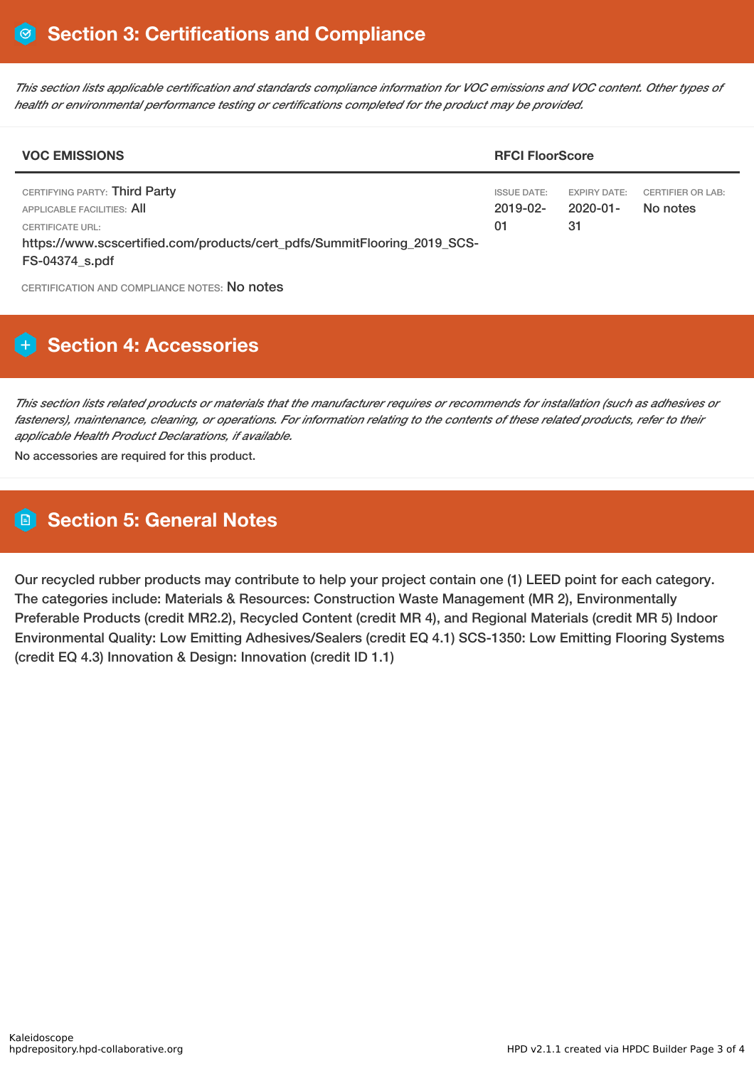This section lists applicable certification and standards compliance information for VOC emissions and VOC content. Other types of *health or environmental performance testing or certifications completed for the product may be provided.*

| <b>VOC EMISSIONS</b>                                                                                                                                                                 |                                           | <b>RFCI FloorScore</b>                      |                                      |  |  |
|--------------------------------------------------------------------------------------------------------------------------------------------------------------------------------------|-------------------------------------------|---------------------------------------------|--------------------------------------|--|--|
| CERTIFYING PARTY: Third Party<br>APPLICABLE FACILITIES: AII<br><b>CERTIFICATE URL:</b><br>https://www.scscertified.com/products/cert_pdfs/SummitFlooring_2019_SCS-<br>FS-04374 s.pdf | <b>ISSUE DATE:</b><br>$2019 - 02 -$<br>01 | <b>EXPIRY DATE:</b><br>$2020 - 01 -$<br>-31 | <b>CERTIFIER OR LAB:</b><br>No notes |  |  |

CERTIFICATION AND COMPLIANCE NOTES: No notes

## **H** Section 4: Accessories

This section lists related products or materials that the manufacturer requires or recommends for installation (such as adhesives or fasteners), maintenance, cleaning, or operations. For information relating to the contents of these related products, refer to their *applicable Health Product Declarations, if available.*

No accessories are required for this product.

## **Section 5: General Notes**

Our recycled rubber products may contribute to help your project contain one (1) LEED point for each category. The categories include: Materials & Resources: Construction Waste Management (MR 2), Environmentally Preferable Products (credit MR2.2), Recycled Content (credit MR 4), and Regional Materials (credit MR 5) Indoor Environmental Quality: Low Emitting Adhesives/Sealers (credit EQ 4.1) SCS-1350: Low Emitting Flooring Systems (credit EQ 4.3) Innovation & Design: Innovation (credit ID 1.1)